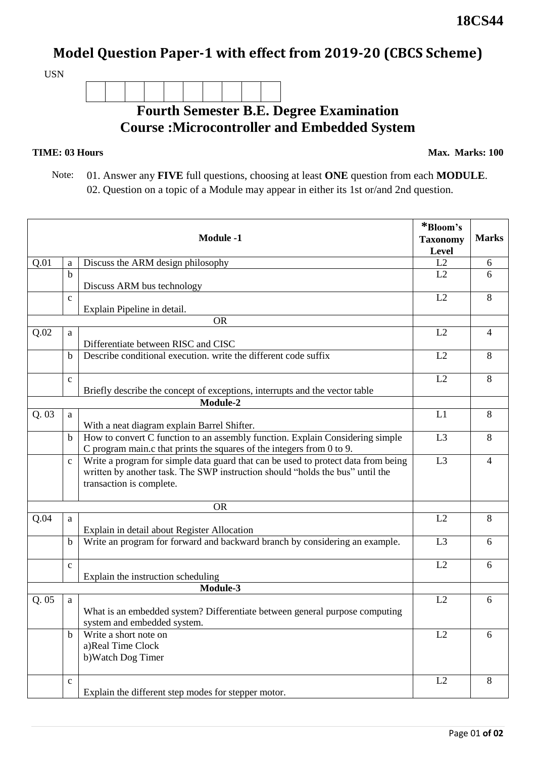## **Model Question Paper-1 with effect from 2019-20 (CBCS Scheme)**

USN

## **Fourth Semester B.E. Degree Examination Course :Microcontroller and Embedded System**

## **TIME: 03 Hours**

**Max. Marks: 100**

 Note: 01. Answer any **FIVE** full questions, choosing at least **ONE** question from each **MODULE**. 02. Question on a topic of a Module may appear in either its 1st or/and 2nd question.

|       |              | <b>Module -1</b>                                                                                                                                                                               | *Bloom's<br><b>Taxonomy</b><br>Level | <b>Marks</b>   |
|-------|--------------|------------------------------------------------------------------------------------------------------------------------------------------------------------------------------------------------|--------------------------------------|----------------|
| Q.01  | a            | Discuss the ARM design philosophy                                                                                                                                                              | L2                                   | 6              |
|       | $\mathbf b$  |                                                                                                                                                                                                | L2                                   | 6              |
|       |              | Discuss ARM bus technology                                                                                                                                                                     |                                      |                |
|       | $\mathbf c$  | Explain Pipeline in detail.                                                                                                                                                                    | L2                                   | 8              |
|       | <b>OR</b>    |                                                                                                                                                                                                |                                      |                |
| Q.02  | a            | Differentiate between RISC and CISC                                                                                                                                                            | L2                                   | $\overline{4}$ |
|       | $\mathbf b$  | Describe conditional execution, write the different code suffix                                                                                                                                | L2                                   | 8              |
|       | $\mathbf{C}$ | Briefly describe the concept of exceptions, interrupts and the vector table                                                                                                                    | L2                                   | 8              |
|       |              | Module-2                                                                                                                                                                                       |                                      |                |
| Q. 03 | a            | With a neat diagram explain Barrel Shifter.                                                                                                                                                    | L1                                   | 8              |
|       | $\mathbf b$  | How to convert C function to an assembly function. Explain Considering simple<br>C program main.c that prints the squares of the integers from 0 to 9.                                         | L <sub>3</sub>                       | 8              |
|       | $\mathbf{C}$ | Write a program for simple data guard that can be used to protect data from being<br>written by another task. The SWP instruction should "holds the bus" until the<br>transaction is complete. | L <sub>3</sub>                       | $\overline{4}$ |
|       |              | <b>OR</b>                                                                                                                                                                                      |                                      |                |
| Q.04  | a            | Explain in detail about Register Allocation                                                                                                                                                    | L2                                   | 8              |
|       | $\mathbf b$  | Write an program for forward and backward branch by considering an example.                                                                                                                    | L <sub>3</sub>                       | 6              |
|       | $\mathbf{C}$ | Explain the instruction scheduling                                                                                                                                                             | L2                                   | 6              |
|       |              | Module-3                                                                                                                                                                                       |                                      |                |
| Q.05  | a            | What is an embedded system? Differentiate between general purpose computing<br>system and embedded system.                                                                                     | L2                                   | 6              |
|       | b            | Write a short note on<br>a)Real Time Clock<br>b) Watch Dog Timer                                                                                                                               | L2                                   | 6              |
|       | $\mathbf{C}$ | Explain the different step modes for stepper motor.                                                                                                                                            | L2                                   | $8\,$          |